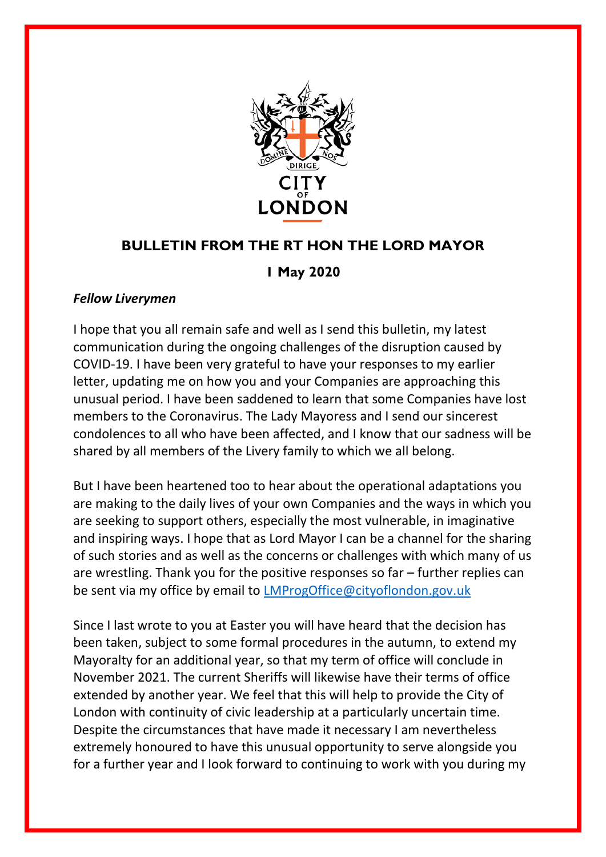

## **BULLETIN FROM THE RT HON THE LORD MAYOR**

## **1 May 2020**

## *Fellow Liverymen*

I hope that you all remain safe and well as I send this bulletin, my latest communication during the ongoing challenges of the disruption caused by COVID-19. I have been very grateful to have your responses to my earlier letter, updating me on how you and your Companies are approaching this unusual period. I have been saddened to learn that some Companies have lost members to the Coronavirus. The Lady Mayoress and I send our sincerest condolences to all who have been affected, and I know that our sadness will be shared by all members of the Livery family to which we all belong.

But I have been heartened too to hear about the operational adaptations you are making to the daily lives of your own Companies and the ways in which you are seeking to support others, especially the most vulnerable, in imaginative and inspiring ways. I hope that as Lord Mayor I can be a channel for the sharing of such stories and as well as the concerns or challenges with which many of us are wrestling. Thank you for the positive responses so far – further replies can be sent via my office by email to [LMProgOffice@cityoflondon.gov.uk](mailto:LMProgOffice@cityoflondon.gov.uk)

Since I last wrote to you at Easter you will have heard that the decision has been taken, subject to some formal procedures in the autumn, to extend my Mayoralty for an additional year, so that my term of office will conclude in November 2021. The current Sheriffs will likewise have their terms of office extended by another year. We feel that this will help to provide the City of London with continuity of civic leadership at a particularly uncertain time. Despite the circumstances that have made it necessary I am nevertheless extremely honoured to have this unusual opportunity to serve alongside you for a further year and I look forward to continuing to work with you during my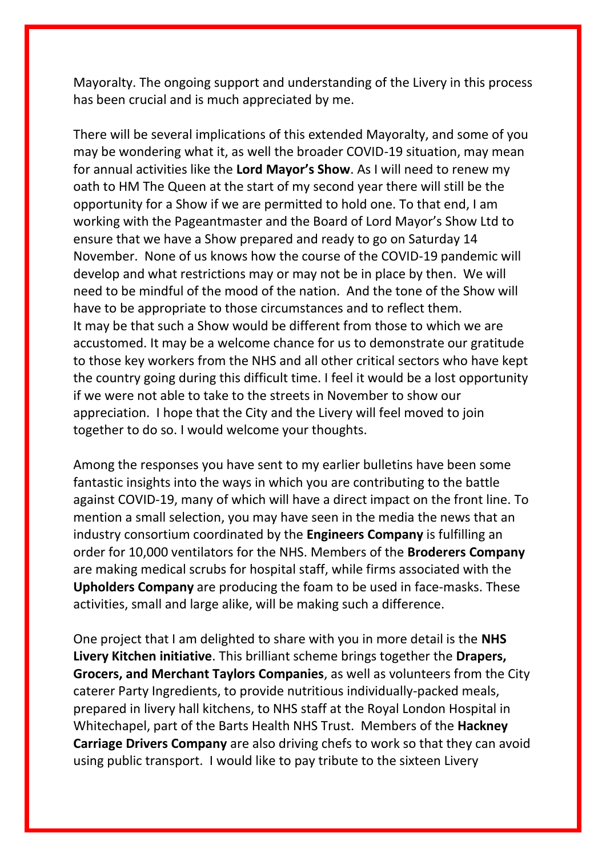Mayoralty. The ongoing support and understanding of the Livery in this process has been crucial and is much appreciated by me.

There will be several implications of this extended Mayoralty, and some of you may be wondering what it, as well the broader COVID-19 situation, may mean for annual activities like the **Lord Mayor's Show**. As I will need to renew my oath to HM The Queen at the start of my second year there will still be the opportunity for a Show if we are permitted to hold one. To that end, I am working with the Pageantmaster and the Board of Lord Mayor's Show Ltd to ensure that we have a Show prepared and ready to go on Saturday 14 November. None of us knows how the course of the COVID-19 pandemic will develop and what restrictions may or may not be in place by then. We will need to be mindful of the mood of the nation. And the tone of the Show will have to be appropriate to those circumstances and to reflect them. It may be that such a Show would be different from those to which we are accustomed. It may be a welcome chance for us to demonstrate our gratitude to those key workers from the NHS and all other critical sectors who have kept the country going during this difficult time. I feel it would be a lost opportunity if we were not able to take to the streets in November to show our appreciation. I hope that the City and the Livery will feel moved to join together to do so. I would welcome your thoughts.

Among the responses you have sent to my earlier bulletins have been some fantastic insights into the ways in which you are contributing to the battle against COVID-19, many of which will have a direct impact on the front line. To mention a small selection, you may have seen in the media the news that an industry consortium coordinated by the **Engineers Company** is fulfilling an order for 10,000 ventilators for the NHS. Members of the **Broderers Company** are making medical scrubs for hospital staff, while firms associated with the **Upholders Company** are producing the foam to be used in face-masks. These activities, small and large alike, will be making such a difference.

One project that I am delighted to share with you in more detail is the **NHS Livery Kitchen initiative**. This brilliant scheme brings together the **Drapers, Grocers, and Merchant Taylors Companies**, as well as volunteers from the City caterer Party Ingredients, to provide nutritious individually-packed meals, prepared in livery hall kitchens, to NHS staff at the Royal London Hospital in Whitechapel, part of the Barts Health NHS Trust. Members of the **Hackney Carriage Drivers Company** are also driving chefs to work so that they can avoid using public transport. I would like to pay tribute to the sixteen Livery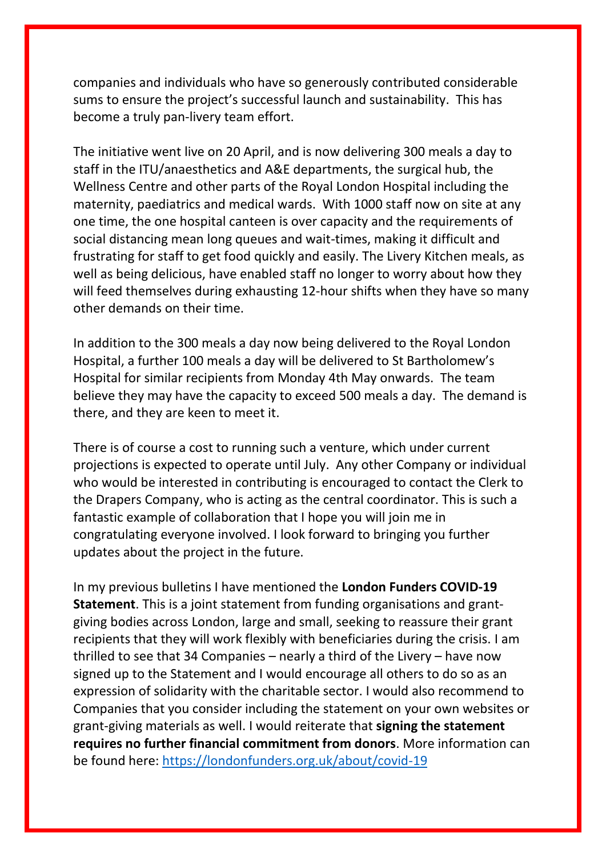companies and individuals who have so generously contributed considerable sums to ensure the project's successful launch and sustainability. This has become a truly pan-livery team effort.

The initiative went live on 20 April, and is now delivering 300 meals a day to staff in the ITU/anaesthetics and A&E departments, the surgical hub, the Wellness Centre and other parts of the Royal London Hospital including the maternity, paediatrics and medical wards. With 1000 staff now on site at any one time, the one hospital canteen is over capacity and the requirements of social distancing mean long queues and wait-times, making it difficult and frustrating for staff to get food quickly and easily. The Livery Kitchen meals, as well as being delicious, have enabled staff no longer to worry about how they will feed themselves during exhausting 12-hour shifts when they have so many other demands on their time.

In addition to the 300 meals a day now being delivered to the Royal London Hospital, a further 100 meals a day will be delivered to St Bartholomew's Hospital for similar recipients from Monday 4th May onwards. The team believe they may have the capacity to exceed 500 meals a day. The demand is there, and they are keen to meet it.

There is of course a cost to running such a venture, which under current projections is expected to operate until July. Any other Company or individual who would be interested in contributing is encouraged to contact the Clerk to the Drapers Company, who is acting as the central coordinator. This is such a fantastic example of collaboration that I hope you will join me in congratulating everyone involved. I look forward to bringing you further updates about the project in the future.

In my previous bulletins I have mentioned the **London Funders COVID-19 Statement**. This is a joint statement from funding organisations and grantgiving bodies across London, large and small, seeking to reassure their grant recipients that they will work flexibly with beneficiaries during the crisis. I am thrilled to see that 34 Companies – nearly a third of the Livery – have now signed up to the Statement and I would encourage all others to do so as an expression of solidarity with the charitable sector. I would also recommend to Companies that you consider including the statement on your own websites or grant-giving materials as well. I would reiterate that **signing the statement requires no further financial commitment from donors**. More information can be found here: <https://londonfunders.org.uk/about/covid-19>